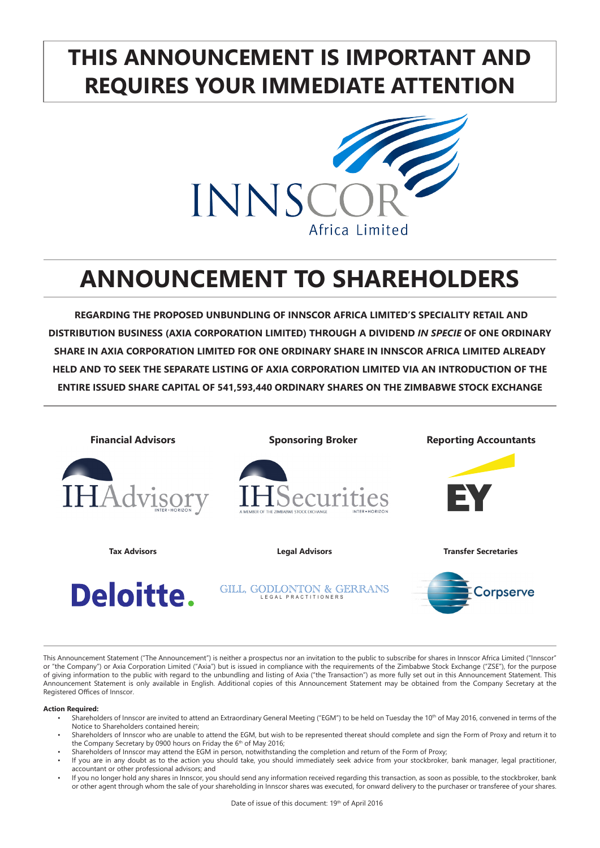# **THIS ANNOUNCEMENT IS IMPORTANT AND REQUIRES YOUR IMMEDIATE ATTENTION**



# **ANNOUNCEMENT TO SHAREHOLDERS**

 **REGARDING THE PROPOSED UNBUNDLING OF INNSCOR AFRICA LIMITED'S SPECIALITY RETAIL AND DISTRIBUTION BUSINESS (AXIA CORPORATION LIMITED) THROUGH A DIVIDEND** *IN SPECIE* **OF ONE ORDINARY SHARE IN AXIA CORPORATION LIMITED FOR ONE ORDINARY SHARE IN INNSCOR AFRICA LIMITED ALREADY HELD AND TO SEEK THE SEPARATE LISTING OF AXIA CORPORATION LIMITED VIA AN INTRODUCTION OF THE ENTIRE ISSUED SHARE CAPITAL OF 541,593,440 ORDINARY SHARES ON THE ZIMBABWE STOCK EXCHANGE**



This Announcement Statement ("The Announcement") is neither a prospectus nor an invitation to the public to subscribe for shares in Innscor Africa Limited ("Innscor" or "the Company") or Axia Corporation Limited ("Axia") but is issued in compliance with the requirements of the Zimbabwe Stock Exchange ("ZSE"), for the purpose of giving information to the public with regard to the unbundling and listing of Axia ("the Transaction") as more fully set out in this Announcement Statement. This Announcement Statement is only available in English. Additional copies of this Announcement Statement may be obtained from the Company Secretary at the Registered Offices of Innscor.

#### **Action Required:**

- Shareholders of Innscor are invited to attend an Extraordinary General Meeting ("EGM") to be held on Tuesday the 10<sup>th</sup> of May 2016, convened in terms of the Notice to Shareholders contained herein;
- Shareholders of Innscor who are unable to attend the EGM, but wish to be represented thereat should complete and sign the Form of Proxy and return it to the Company Secretary by 0900 hours on Friday the 6<sup>th</sup> of May 2016;
- Shareholders of Innscor may attend the EGM in person, notwithstanding the completion and return of the Form of Proxy;
- If you are in any doubt as to the action you should take, you should immediately seek advice from your stockbroker, bank manager, legal practitioner, accountant or other professional advisors; and
- If you no longer hold any shares in Innscor, you should send any information received regarding this transaction, as soon as possible, to the stockbroker, bank or other agent through whom the sale of your shareholding in Innscor shares was executed, for onward delivery to the purchaser or transferee of your shares.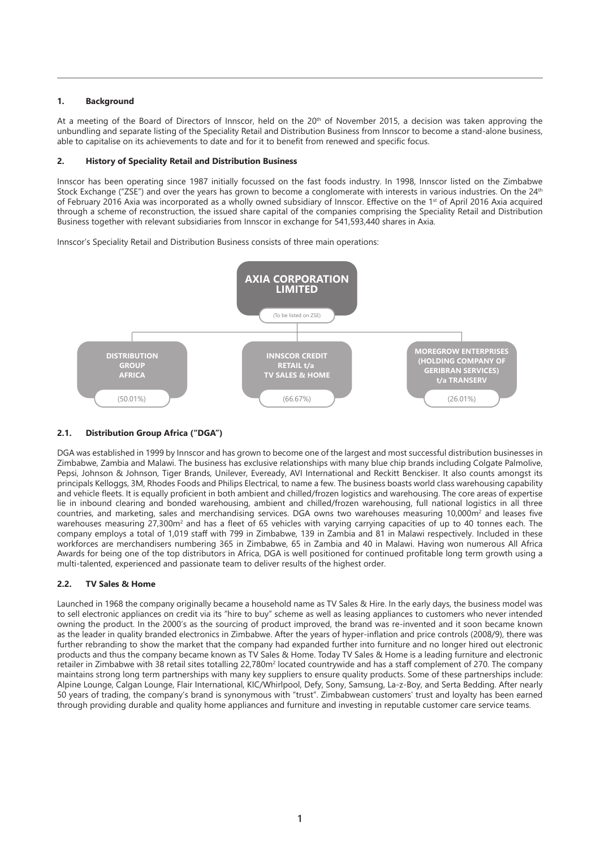#### **1. Background**

At a meeting of the Board of Directors of Innscor, held on the 20<sup>th</sup> of November 2015, a decision was taken approving the unbundling and separate listing of the Speciality Retail and Distribution Business from Innscor to become a stand-alone business, able to capitalise on its achievements to date and for it to benefit from renewed and specific focus.

#### **2. History of Speciality Retail and Distribution Business**

Innscor has been operating since 1987 initially focussed on the fast foods industry. In 1998, Innscor listed on the Zimbabwe Stock Exchange ("ZSE") and over the years has grown to become a conglomerate with interests in various industries. On the 24<sup>th</sup> of February 2016 Axia was incorporated as a wholly owned subsidiary of Innscor. Effective on the 1st of April 2016 Axia acquired through a scheme of reconstruction, the issued share capital of the companies comprising the Speciality Retail and Distribution Business together with relevant subsidiaries from Innscor in exchange for 541,593,440 shares in Axia.

Innscor's Speciality Retail and Distribution Business consists of three main operations:



#### **2.1. Distribution Group Africa ("DGA")**

DGA was established in 1999 by Innscor and has grown to become one of the largest and most successful distribution businesses in Zimbabwe, Zambia and Malawi. The business has exclusive relationships with many blue chip brands including Colgate Palmolive, Pepsi, Johnson & Johnson, Tiger Brands, Unilever, Eveready, AVI International and Reckitt Benckiser. It also counts amongst its principals Kelloggs, 3M, Rhodes Foods and Philips Electrical, to name a few. The business boasts world class warehousing capability and vehicle fleets. It is equally proficient in both ambient and chilled/frozen logistics and warehousing. The core areas of expertise lie in inbound clearing and bonded warehousing, ambient and chilled/frozen warehousing, full national logistics in all three countries, and marketing, sales and merchandising services. DGA owns two warehouses measuring 10,000m<sup>2</sup> and leases five warehouses measuring 27,300m<sup>2</sup> and has a fleet of 65 vehicles with varying carrying capacities of up to 40 tonnes each. The company employs a total of 1,019 staff with 799 in Zimbabwe, 139 in Zambia and 81 in Malawi respectively. Included in these workforces are merchandisers numbering 365 in Zimbabwe, 65 in Zambia and 40 in Malawi. Having won numerous All Africa Awards for being one of the top distributors in Africa, DGA is well positioned for continued profitable long term growth using a multi-talented, experienced and passionate team to deliver results of the highest order.

#### **2.2. TV Sales & Home**

Launched in 1968 the company originally became a household name as TV Sales & Hire. In the early days, the business model was to sell electronic appliances on credit via its "hire to buy" scheme as well as leasing appliances to customers who never intended owning the product. In the 2000's as the sourcing of product improved, the brand was re-invented and it soon became known as the leader in quality branded electronics in Zimbabwe. After the years of hyper-inflation and price controls (2008/9), there was further rebranding to show the market that the company had expanded further into furniture and no longer hired out electronic products and thus the company became known as TV Sales & Home. Today TV Sales & Home is a leading furniture and electronic retailer in Zimbabwe with 38 retail sites totalling 22,780m<sup>2</sup> located countrywide and has a staff complement of 270. The company maintains strong long term partnerships with many key suppliers to ensure quality products. Some of these partnerships include: Alpine Lounge, Calgan Lounge, Flair International, KIC/Whirlpool, Defy, Sony, Samsung, La-z-Boy, and Serta Bedding. After nearly 50 years of trading, the company's brand is synonymous with "trust". Zimbabwean customers' trust and loyalty has been earned through providing durable and quality home appliances and furniture and investing in reputable customer care service teams.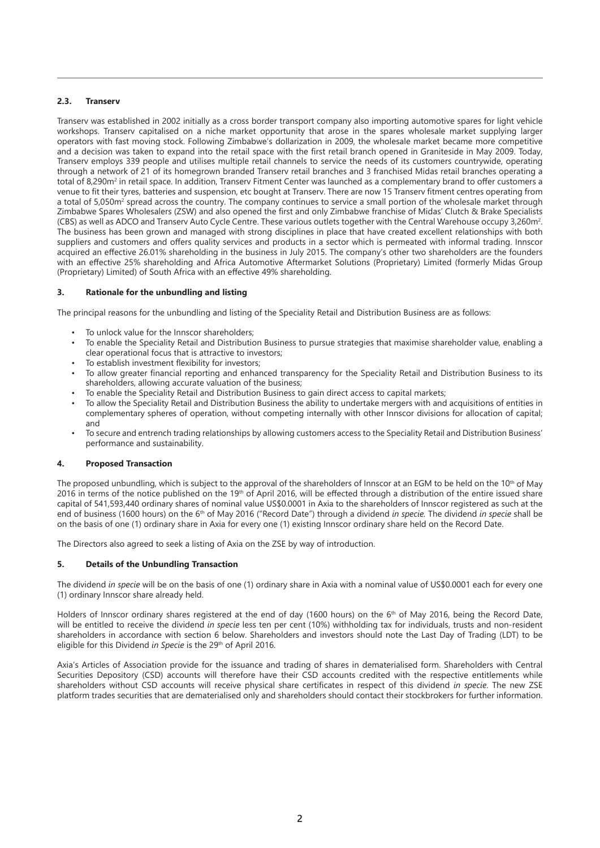#### **2.3. Transerv**

Transerv was established in 2002 initially as a cross border transport company also importing automotive spares for light vehicle workshops. Transerv capitalised on a niche market opportunity that arose in the spares wholesale market supplying larger operators with fast moving stock. Following Zimbabwe's dollarization in 2009, the wholesale market became more competitive and a decision was taken to expand into the retail space with the first retail branch opened in Graniteside in May 2009. Today, Transerv employs 339 people and utilises multiple retail channels to service the needs of its customers countrywide, operating through a network of 21 of its homegrown branded Transerv retail branches and 3 franchised Midas retail branches operating a total of 8,290m<sup>2</sup> in retail space. In addition, Transerv Fitment Center was launched as a complementary brand to offer customers a venue to fit their tyres, batteries and suspension, etc bought at Transerv. There are now 15 Transerv fitment centres operating from a total of 5,050m<sup>2</sup> spread across the country. The company continues to service a small portion of the wholesale market through Zimbabwe Spares Wholesalers (ZSW) and also opened the first and only Zimbabwe franchise of Midas' Clutch & Brake Specialists (CBS) as well as ADCO and Transerv Auto Cycle Centre. These various outlets together with the Central Warehouse occupy 3,260m2 . The business has been grown and managed with strong disciplines in place that have created excellent relationships with both suppliers and customers and offers quality services and products in a sector which is permeated with informal trading. Innscor acquired an effective 26.01% shareholding in the business in July 2015. The company's other two shareholders are the founders with an effective 25% shareholding and Africa Automotive Aftermarket Solutions (Proprietary) Limited (formerly Midas Group (Proprietary) Limited) of South Africa with an effective 49% shareholding.

#### **3. Rationale for the unbundling and listing**

The principal reasons for the unbundling and listing of the Speciality Retail and Distribution Business are as follows:

- To unlock value for the Innscor shareholders;
- To enable the Speciality Retail and Distribution Business to pursue strategies that maximise shareholder value, enabling a clear operational focus that is attractive to investors;
- To establish investment flexibility for investors;
- To allow greater financial reporting and enhanced transparency for the Speciality Retail and Distribution Business to its shareholders, allowing accurate valuation of the business;
- To enable the Speciality Retail and Distribution Business to gain direct access to capital markets;
- To allow the Speciality Retail and Distribution Business the ability to undertake mergers with and acquisitions of entities in complementary spheres of operation, without competing internally with other Innscor divisions for allocation of capital; and
- To secure and entrench trading relationships by allowing customers access to the Speciality Retail and Distribution Business' performance and sustainability.

#### **4. Proposed Transaction**

The proposed unbundling, which is subject to the approval of the shareholders of Innscor at an EGM to be held on the 10<sup>th</sup> of May 2016 in terms of the notice published on the 19<sup>th</sup> of April 2016, will be effected through a distribution of the entire issued share capital of 541,593,440 ordinary shares of nominal value US\$0.0001 in Axia to the shareholders of Innscor registered as such at the end of business (1600 hours) on the 6th of May 2016 ("Record Date") through a dividend *in specie.* The dividend *in specie* shall be on the basis of one (1) ordinary share in Axia for every one (1) existing Innscor ordinary share held on the Record Date.

The Directors also agreed to seek a listing of Axia on the ZSE by way of introduction.

#### **5. Details of the Unbundling Transaction**

The dividend *in specie* will be on the basis of one (1) ordinary share in Axia with a nominal value of US\$0.0001 each for every one (1) ordinary Innscor share already held.

Holders of Innscor ordinary shares registered at the end of day (1600 hours) on the 6<sup>th</sup> of May 2016, being the Record Date, will be entitled to receive the dividend *in specie* less ten per cent (10%) withholding tax for individuals, trusts and non-resident shareholders in accordance with section 6 below. Shareholders and investors should note the Last Day of Trading (LDT) to be eligible for this Dividend *in Specie* is the 29th of April 2016.

Axia's Articles of Association provide for the issuance and trading of shares in dematerialised form. Shareholders with Central Securities Depository (CSD) accounts will therefore have their CSD accounts credited with the respective entitlements while shareholders without CSD accounts will receive physical share certificates in respect of this dividend *in specie*. The new ZSE platform trades securities that are dematerialised only and shareholders should contact their stockbrokers for further information.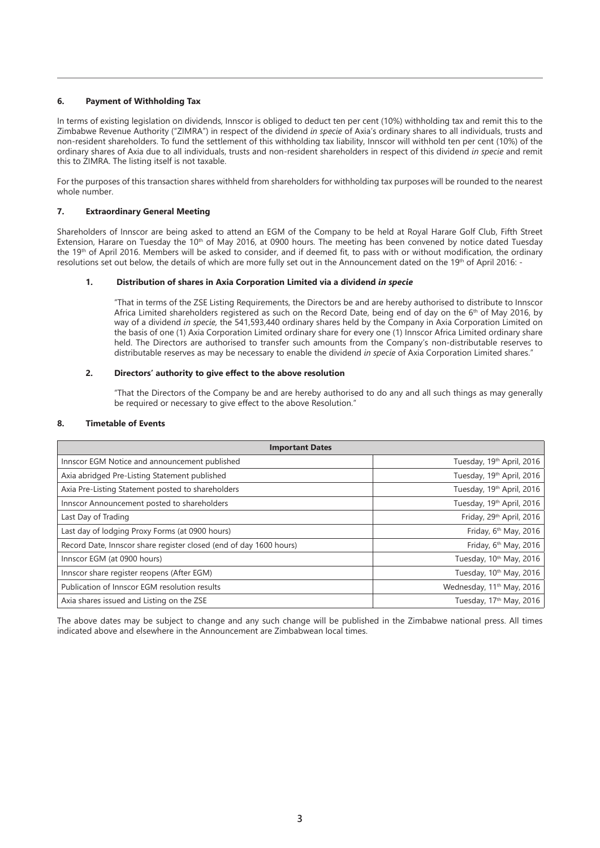### **6. Payment of Withholding Tax**

In terms of existing legislation on dividends, Innscor is obliged to deduct ten per cent (10%) withholding tax and remit this to the Zimbabwe Revenue Authority ("ZIMRA") in respect of the dividend *in specie* of Axia's ordinary shares to all individuals, trusts and non-resident shareholders. To fund the settlement of this withholding tax liability, Innscor will withhold ten per cent (10%) of the ordinary shares of Axia due to all individuals, trusts and non-resident shareholders in respect of this dividend *in specie* and remit this to ZIMRA. The listing itself is not taxable.

For the purposes of this transaction shares withheld from shareholders for withholding tax purposes will be rounded to the nearest whole number.

## **7. Extraordinary General Meeting**

Shareholders of Innscor are being asked to attend an EGM of the Company to be held at Royal Harare Golf Club, Fifth Street Extension, Harare on Tuesday the 10th of May 2016, at 0900 hours. The meeting has been convened by notice dated Tuesday the 19<sup>th</sup> of April 2016. Members will be asked to consider, and if deemed fit, to pass with or without modification, the ordinary resolutions set out below, the details of which are more fully set out in the Announcement dated on the 19th of April 2016: -

#### **1. Distribution of shares in Axia Corporation Limited via a dividend** *in specie*

"That in terms of the ZSE Listing Requirements, the Directors be and are hereby authorised to distribute to Innscor Africa Limited shareholders registered as such on the Record Date, being end of day on the 6<sup>th</sup> of May 2016, by way of a dividend *in specie,* the 541,593,440 ordinary shares held by the Company in Axia Corporation Limited on the basis of one (1) Axia Corporation Limited ordinary share for every one (1) Innscor Africa Limited ordinary share held. The Directors are authorised to transfer such amounts from the Company's non-distributable reserves to distributable reserves as may be necessary to enable the dividend *in specie* of Axia Corporation Limited shares."

#### **2. Directors' authority to give effect to the above resolution**

"That the Directors of the Company be and are hereby authorised to do any and all such things as may generally be required or necessary to give effect to the above Resolution."

#### **8. Timetable of Events**

| <b>Important Dates</b>                                             |                                       |  |  |
|--------------------------------------------------------------------|---------------------------------------|--|--|
| Innscor EGM Notice and announcement published                      | Tuesday, 19th April, 2016             |  |  |
| Axia abridged Pre-Listing Statement published                      | Tuesday, 19th April, 2016             |  |  |
| Axia Pre-Listing Statement posted to shareholders                  | Tuesday, 19th April, 2016             |  |  |
| Innscor Announcement posted to shareholders                        | Tuesday, 19th April, 2016             |  |  |
| Last Day of Trading                                                | Friday, 29 <sup>th</sup> April, 2016  |  |  |
| Last day of lodging Proxy Forms (at 0900 hours)                    | Friday, 6 <sup>th</sup> May, 2016     |  |  |
| Record Date, Innscor share register closed (end of day 1600 hours) | Friday, 6 <sup>th</sup> May, 2016     |  |  |
| Innscor EGM (at 0900 hours)                                        | Tuesday, 10 <sup>th</sup> May, 2016   |  |  |
| Innscor share register reopens (After EGM)                         | Tuesday, 10 <sup>th</sup> May, 2016   |  |  |
| Publication of Innscor EGM resolution results                      | Wednesday, 11 <sup>th</sup> May, 2016 |  |  |
| Axia shares issued and Listing on the ZSE                          | Tuesday, 17 <sup>th</sup> May, 2016   |  |  |

The above dates may be subject to change and any such change will be published in the Zimbabwe national press. All times indicated above and elsewhere in the Announcement are Zimbabwean local times.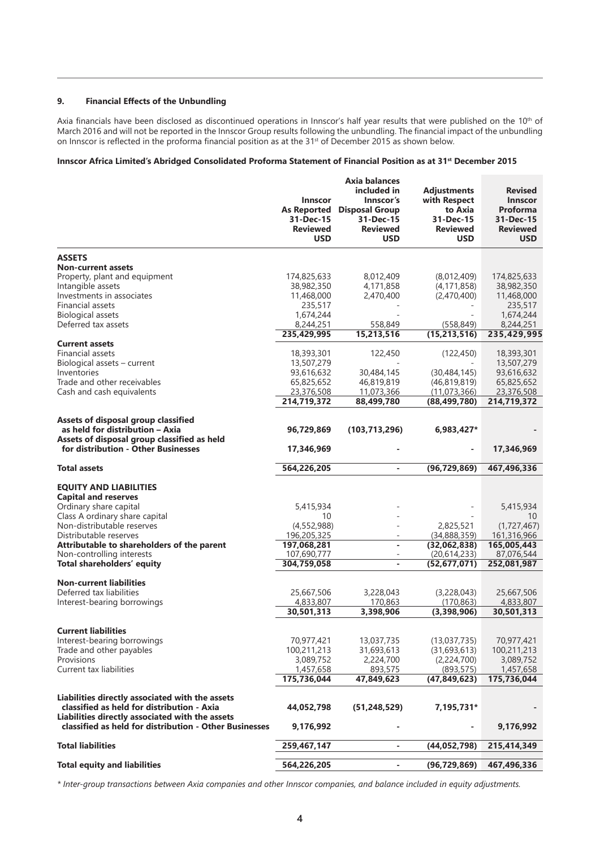# **9. Financial Effects of the Unbundling**

Axia financials have been disclosed as discontinued operations in Innscor's half year results that were published on the 10<sup>th</sup> of March 2016 and will not be reported in the Innscor Group results following the unbundling. The financial impact of the unbundling on Innscor is reflected in the proforma financial position as at the 31st of December 2015 as shown below.

## **Innscor Africa Limited's Abridged Consolidated Proforma Statement of Financial Position as at 31st December 2015**

|                                                                                                                                                                                                                                                                                           | <b>Innscor</b><br>31-Dec-15<br><b>Reviewed</b><br><b>USD</b>                               | Axia balances<br>included in<br>Innscor's<br>As Reported Disposal Group<br>31-Dec-15<br><b>Reviewed</b><br><b>USD</b> | <b>Adjustments</b><br>with Respect<br>to Axia<br>31-Dec-15<br><b>Reviewed</b><br><b>USD</b> | <b>Revised</b><br><b>Innscor</b><br><b>Proforma</b><br>31-Dec-15<br><b>Reviewed</b><br><b>USD</b> |
|-------------------------------------------------------------------------------------------------------------------------------------------------------------------------------------------------------------------------------------------------------------------------------------------|--------------------------------------------------------------------------------------------|-----------------------------------------------------------------------------------------------------------------------|---------------------------------------------------------------------------------------------|---------------------------------------------------------------------------------------------------|
| <b>ASSETS</b>                                                                                                                                                                                                                                                                             |                                                                                            |                                                                                                                       |                                                                                             |                                                                                                   |
| <b>Non-current assets</b><br>Property, plant and equipment<br>Intangible assets<br>Investments in associates<br>Financial assets<br><b>Biological assets</b><br>Deferred tax assets                                                                                                       | 174,825,633<br>38,982,350<br>11,468,000<br>235,517<br>1,674,244<br>8,244,251               | 8,012,409<br>4,171,858<br>2,470,400<br>558,849                                                                        | (8,012,409)<br>(4, 171, 858)<br>(2,470,400)<br>(558, 849)                                   | 174,825,633<br>38,982,350<br>11,468,000<br>235,517<br>1,674,244<br>8,244,251                      |
| <b>Current assets</b>                                                                                                                                                                                                                                                                     | 235,429,995                                                                                | 15,213,516                                                                                                            | (15, 213, 516)                                                                              | 235,429,995                                                                                       |
| Financial assets<br>Biological assets – current<br>Inventories<br>Trade and other receivables<br>Cash and cash equivalents                                                                                                                                                                | 18,393,301<br>13,507,279<br>93,616,632<br>65,825,652<br>23,376,508<br>214,719,372          | 122,450<br>30,484,145<br>46,819,819<br>11,073,366<br>88,499,780                                                       | (122, 450)<br>(30, 484, 145)<br>(46, 819, 819)<br>(11,073,366)<br>(88, 499, 780)            | 18,393,301<br>13,507,279<br>93,616,632<br>65,825,652<br>23,376,508<br>214,719,372                 |
| Assets of disposal group classified                                                                                                                                                                                                                                                       |                                                                                            |                                                                                                                       |                                                                                             |                                                                                                   |
| as held for distribution - Axia<br>Assets of disposal group classified as held<br>for distribution - Other Businesses                                                                                                                                                                     | 96,729,869<br>17,346,969                                                                   | (103, 713, 296)                                                                                                       | 6,983,427*                                                                                  | 17,346,969                                                                                        |
| <b>Total assets</b>                                                                                                                                                                                                                                                                       | 564,226,205                                                                                | $\overline{\phantom{a}}$                                                                                              | (96, 729, 869)                                                                              | 467,496,336                                                                                       |
| <b>EQUITY AND LIABILITIES</b><br><b>Capital and reserves</b><br>Ordinary share capital<br>Class A ordinary share capital<br>Non-distributable reserves<br>Distributable reserves<br>Attributable to shareholders of the parent<br>Non-controlling interests<br>Total shareholders' equity | 5,415,934<br>10<br>(4,552,988)<br>196,205,325<br>197,068,281<br>107,690,777<br>304,759,058 | $\overline{\phantom{a}}$<br>$\overline{\phantom{m}}$<br>$\overline{\phantom{a}}$                                      | 2,825,521<br>(34,888,359)<br>(32,062,838)<br>(20,614,233)<br>(52, 677, 071)                 | 5,415,934<br>10<br>(1,727,467)<br>161,316,966<br>165,005,443<br>87,076,544<br>252,081,987         |
| <b>Non-current liabilities</b>                                                                                                                                                                                                                                                            |                                                                                            |                                                                                                                       |                                                                                             |                                                                                                   |
| Deferred tax liabilities<br>Interest-bearing borrowings                                                                                                                                                                                                                                   | 25,667,506<br>4,833,807                                                                    | 3,228,043<br>170,863                                                                                                  | (3,228,043)<br>(170, 863)                                                                   | 25,667,506<br>4,833,807                                                                           |
|                                                                                                                                                                                                                                                                                           | 30,501,313                                                                                 | 3,398,906                                                                                                             | (3,398,906)                                                                                 | 30,501,313                                                                                        |
| <b>Current liabilities</b><br>Interest-bearing borrowings<br>Trade and other payables<br>Provisions<br>Current tax liabilities                                                                                                                                                            | 70,977,421<br>100,211,213<br>3,089,752<br>1,457,658<br>175,736,044                         | 13,037,735<br>31,693,613<br>2,224,700<br>893,575<br>47,849,623                                                        | (13,037,735)<br>(31,693,613)<br>(2,224,700)<br>(893, 575)<br>(47, 849, 623)                 | 70,977,421<br>100,211,213<br>3,089,752<br>1,457,658<br>175,736,044                                |
| Liabilities directly associated with the assets<br>classified as held for distribution - Axia<br>Liabilities directly associated with the assets                                                                                                                                          | 44,052,798                                                                                 | (51, 248, 529)                                                                                                        | 7,195,731*                                                                                  |                                                                                                   |
| classified as held for distribution - Other Businesses                                                                                                                                                                                                                                    | 9,176,992                                                                                  |                                                                                                                       |                                                                                             | 9,176,992                                                                                         |
| <b>Total liabilities</b>                                                                                                                                                                                                                                                                  | 259,467,147                                                                                | $\overline{\phantom{a}}$                                                                                              | (44, 052, 798)                                                                              | 215,414,349                                                                                       |
| <b>Total equity and liabilities</b>                                                                                                                                                                                                                                                       | 564,226,205                                                                                |                                                                                                                       | (96, 729, 869)                                                                              | 467,496,336                                                                                       |

*\* Inter-group transactions between Axia companies and other Innscor companies, and balance included in equity adjustments.*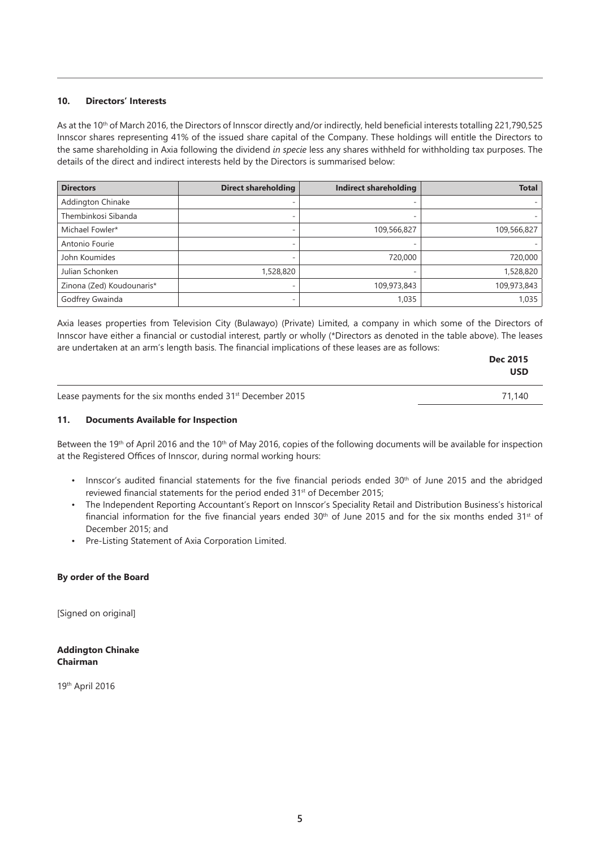# **10. Directors' Interests**

As at the 10<sup>th</sup> of March 2016, the Directors of Innscor directly and/or indirectly, held beneficial interests totalling 221,790,525 Innscor shares representing 41% of the issued share capital of the Company. These holdings will entitle the Directors to the same shareholding in Axia following the dividend *in specie* less any shares withheld for withholding tax purposes. The details of the direct and indirect interests held by the Directors is summarised below:

| <b>Directors</b>          | <b>Direct shareholding</b> | Indirect shareholding | <b>Total</b> |
|---------------------------|----------------------------|-----------------------|--------------|
| Addington Chinake         | ٠                          |                       |              |
| Thembinkosi Sibanda       | ٠                          |                       |              |
| Michael Fowler*           | ۰                          | 109,566,827           | 109,566,827  |
| Antonio Fourie            | ٠                          |                       |              |
| John Koumides             | ۰                          | 720,000               | 720,000      |
| Julian Schonken           | 1,528,820                  |                       | 1,528,820    |
| Zinona (Zed) Koudounaris* | ٠                          | 109,973,843           | 109,973,843  |
| Godfrey Gwainda           | ۰                          | 1,035                 | 1,035        |

Axia leases properties from Television City (Bulawayo) (Private) Limited, a company in which some of the Directors of Innscor have either a financial or custodial interest, partly or wholly (\*Directors as denoted in the table above). The leases are undertaken at an arm's length basis. The financial implications of these leases are as follows:

| Dec 2015<br><b>USD</b> |
|------------------------|
| 71.140                 |
|                        |

## **11. Documents Available for Inspection**

Between the 19th of April 2016 and the 10th of May 2016, copies of the following documents will be available for inspection at the Registered Offices of Innscor, during normal working hours:

- Innscor's audited financial statements for the five financial periods ended  $30<sup>th</sup>$  of June 2015 and the abridged reviewed financial statements for the period ended 31<sup>st</sup> of December 2015;
- The Independent Reporting Accountant's Report on Innscor's Speciality Retail and Distribution Business's historical financial information for the five financial years ended  $30<sup>th</sup>$  of June 2015 and for the six months ended  $31<sup>st</sup>$  of December 2015; and
- Pre-Listing Statement of Axia Corporation Limited.

# **By order of the Board**

[Signed on original]

# **Addington Chinake Chairman**

19th April 2016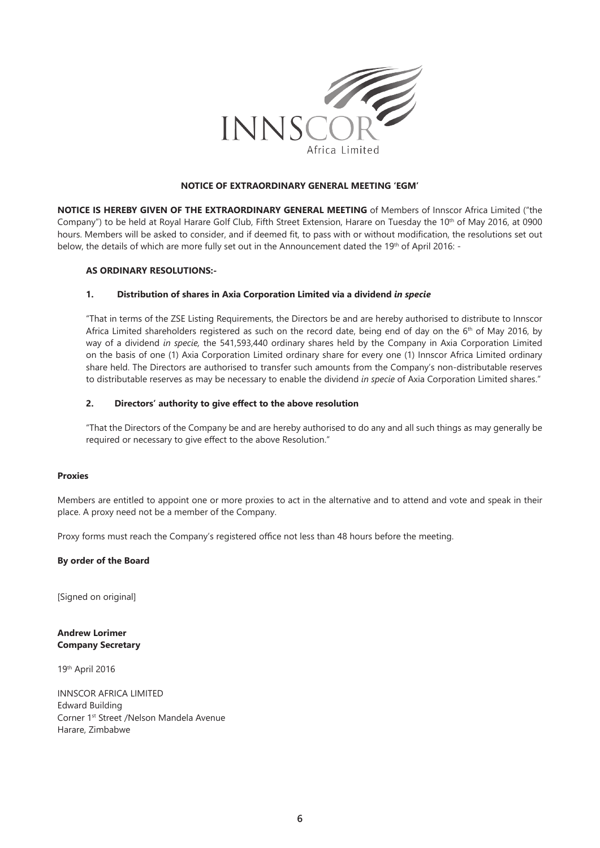

# **NOTICE OF EXTRAORDINARY GENERAL MEETING 'EGM'**

**NOTICE IS HEREBY GIVEN OF THE EXTRAORDINARY GENERAL MEETING** of Members of Innscor Africa Limited ("the Company") to be held at Royal Harare Golf Club, Fifth Street Extension, Harare on Tuesday the 10<sup>th</sup> of May 2016, at 0900 hours. Members will be asked to consider, and if deemed fit, to pass with or without modification, the resolutions set out below, the details of which are more fully set out in the Announcement dated the 19th of April 2016: -

#### **AS ORDINARY RESOLUTIONS:-**

## **1. Distribution of shares in Axia Corporation Limited via a dividend** *in specie*

"That in terms of the ZSE Listing Requirements, the Directors be and are hereby authorised to distribute to Innscor Africa Limited shareholders registered as such on the record date, being end of day on the  $6<sup>th</sup>$  of May 2016, by way of a dividend *in specie,* the 541,593,440 ordinary shares held by the Company in Axia Corporation Limited on the basis of one (1) Axia Corporation Limited ordinary share for every one (1) Innscor Africa Limited ordinary share held. The Directors are authorised to transfer such amounts from the Company's non-distributable reserves to distributable reserves as may be necessary to enable the dividend *in specie* of Axia Corporation Limited shares."

## **2. Directors' authority to give effect to the above resolution**

"That the Directors of the Company be and are hereby authorised to do any and all such things as may generally be required or necessary to give effect to the above Resolution."

#### **Proxies**

Members are entitled to appoint one or more proxies to act in the alternative and to attend and vote and speak in their place. A proxy need not be a member of the Company.

Proxy forms must reach the Company's registered office not less than 48 hours before the meeting.

#### **By order of the Board**

[Signed on original]

**Andrew Lorimer Company Secretary**

19th April 2016

INNSCOR AFRICA LIMITED Edward Building Corner 1st Street /Nelson Mandela Avenue Harare, Zimbabwe